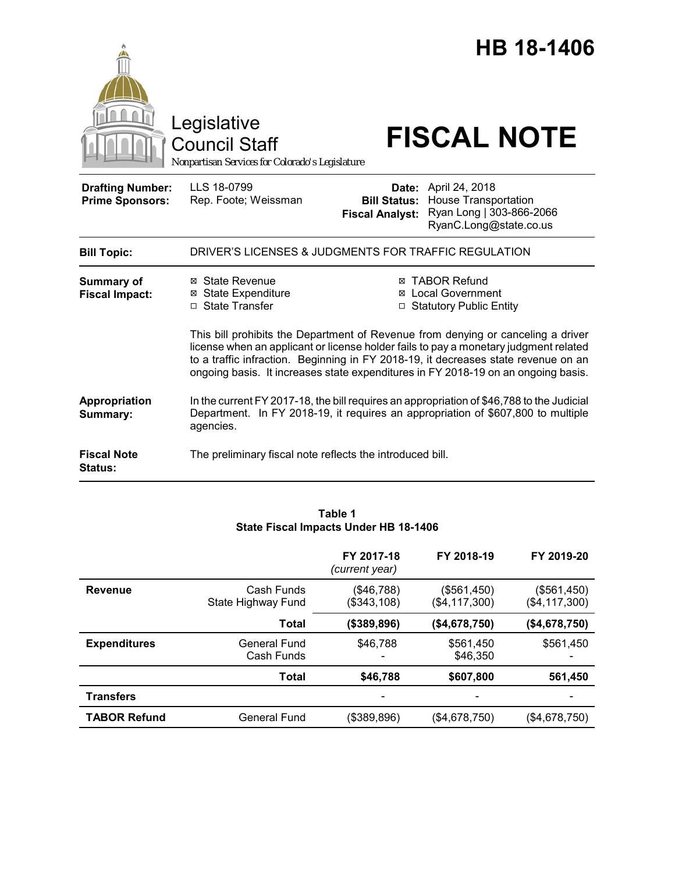

#### **Table 1 State Fiscal Impacts Under HB 18-1406**

|                     |                                  | FY 2017-18<br>(current year) | FY 2018-19                     | FY 2019-20                     |
|---------------------|----------------------------------|------------------------------|--------------------------------|--------------------------------|
| <b>Revenue</b>      | Cash Funds<br>State Highway Fund | (\$46,788)<br>(\$343,108)    | (\$561,450)<br>(\$4, 117, 300) | (\$561,450)<br>(\$4, 117, 300) |
|                     | Total                            | (\$389,896)                  | (\$4,678,750)                  | (\$4,678,750)                  |
| <b>Expenditures</b> | General Fund<br>Cash Funds       | \$46,788                     | \$561,450<br>\$46,350          | \$561,450                      |
|                     | <b>Total</b>                     | \$46,788                     | \$607,800                      | 561,450                        |
| <b>Transfers</b>    |                                  |                              |                                |                                |
| <b>TABOR Refund</b> | General Fund                     | (\$389,896)                  | (\$4,678,750)                  | (\$4,678,750)                  |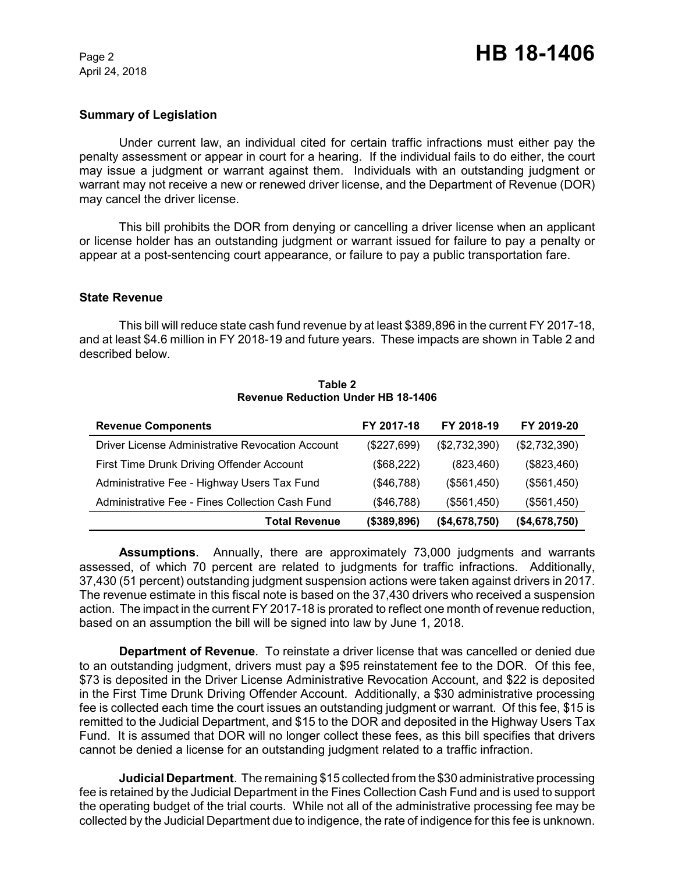April 24, 2018

## **Summary of Legislation**

Under current law, an individual cited for certain traffic infractions must either pay the penalty assessment or appear in court for a hearing. If the individual fails to do either, the court may issue a judgment or warrant against them. Individuals with an outstanding judgment or warrant may not receive a new or renewed driver license, and the Department of Revenue (DOR) may cancel the driver license.

This bill prohibits the DOR from denying or cancelling a driver license when an applicant or license holder has an outstanding judgment or warrant issued for failure to pay a penalty or appear at a post-sentencing court appearance, or failure to pay a public transportation fare.

### **State Revenue**

This bill will reduce state cash fund revenue by at least \$389,896 in the current FY 2017-18, and at least \$4.6 million in FY 2018-19 and future years. These impacts are shown in Table 2 and described below.

| <b>Revenue Components</b>                        | FY 2017-18  | FY 2018-19    | FY 2019-20    |
|--------------------------------------------------|-------------|---------------|---------------|
| Driver License Administrative Revocation Account | (\$227,699) | (\$2,732,390) | (\$2,732,390) |
| First Time Drunk Driving Offender Account        | (\$68,222)  | (823, 460)    | (\$823,460)   |
| Administrative Fee - Highway Users Tax Fund      | (\$46,788)  | (\$561,450)   | (\$561,450)   |
| Administrative Fee - Fines Collection Cash Fund  | (\$46,788)  | (\$561,450)   | (\$561,450)   |
| <b>Total Revenue</b>                             | (\$389,896) | (\$4,678,750) | (\$4,678,750) |

**Table 2 Revenue Reduction Under HB 18-1406**

**Assumptions**. Annually, there are approximately 73,000 judgments and warrants assessed, of which 70 percent are related to judgments for traffic infractions. Additionally, 37,430 (51 percent) outstanding judgment suspension actions were taken against drivers in 2017. The revenue estimate in this fiscal note is based on the 37,430 drivers who received a suspension action. The impact in the current FY 2017-18 is prorated to reflect one month of revenue reduction, based on an assumption the bill will be signed into law by June 1, 2018.

**Department of Revenue**. To reinstate a driver license that was cancelled or denied due to an outstanding judgment, drivers must pay a \$95 reinstatement fee to the DOR. Of this fee, \$73 is deposited in the Driver License Administrative Revocation Account, and \$22 is deposited in the First Time Drunk Driving Offender Account. Additionally, a \$30 administrative processing fee is collected each time the court issues an outstanding judgment or warrant. Of this fee, \$15 is remitted to the Judicial Department, and \$15 to the DOR and deposited in the Highway Users Tax Fund. It is assumed that DOR will no longer collect these fees, as this bill specifies that drivers cannot be denied a license for an outstanding judgment related to a traffic infraction.

**Judicial Department**. The remaining \$15 collected from the \$30 administrative processing fee is retained by the Judicial Department in the Fines Collection Cash Fund and is used to support the operating budget of the trial courts. While not all of the administrative processing fee may be collected by the Judicial Department due to indigence, the rate of indigence for this fee is unknown.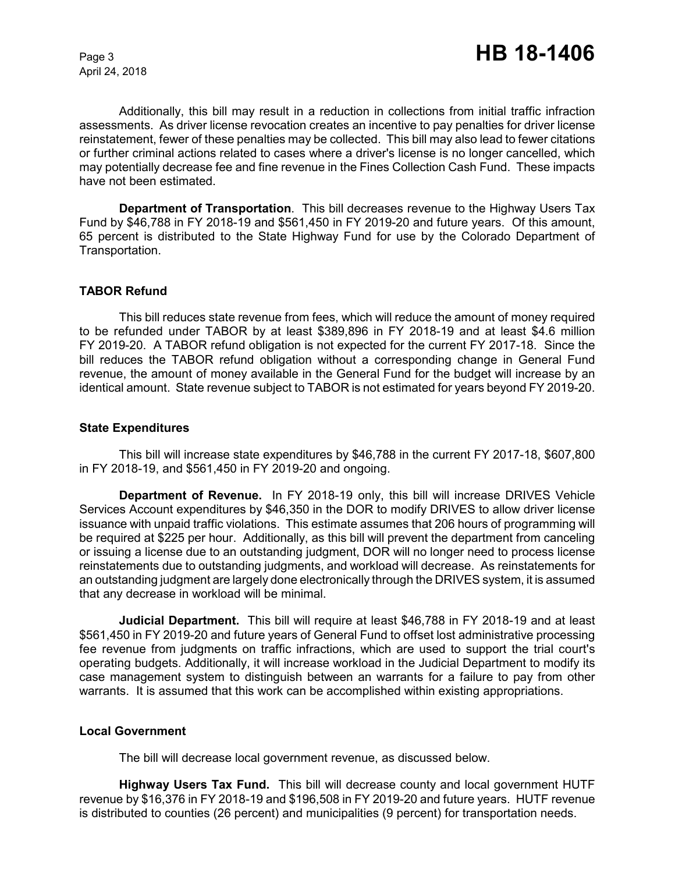April 24, 2018

Additionally, this bill may result in a reduction in collections from initial traffic infraction assessments. As driver license revocation creates an incentive to pay penalties for driver license reinstatement, fewer of these penalties may be collected. This bill may also lead to fewer citations or further criminal actions related to cases where a driver's license is no longer cancelled, which may potentially decrease fee and fine revenue in the Fines Collection Cash Fund. These impacts have not been estimated.

**Department of Transportation**. This bill decreases revenue to the Highway Users Tax Fund by \$46,788 in FY 2018-19 and \$561,450 in FY 2019-20 and future years. Of this amount, 65 percent is distributed to the State Highway Fund for use by the Colorado Department of Transportation.

## **TABOR Refund**

This bill reduces state revenue from fees, which will reduce the amount of money required to be refunded under TABOR by at least \$389,896 in FY 2018-19 and at least \$4.6 million FY 2019-20. A TABOR refund obligation is not expected for the current FY 2017-18. Since the bill reduces the TABOR refund obligation without a corresponding change in General Fund revenue, the amount of money available in the General Fund for the budget will increase by an identical amount. State revenue subject to TABOR is not estimated for years beyond FY 2019-20.

#### **State Expenditures**

This bill will increase state expenditures by \$46,788 in the current FY 2017-18, \$607,800 in FY 2018-19, and \$561,450 in FY 2019-20 and ongoing.

**Department of Revenue.** In FY 2018-19 only, this bill will increase DRIVES Vehicle Services Account expenditures by \$46,350 in the DOR to modify DRIVES to allow driver license issuance with unpaid traffic violations. This estimate assumes that 206 hours of programming will be required at \$225 per hour. Additionally, as this bill will prevent the department from canceling or issuing a license due to an outstanding judgment, DOR will no longer need to process license reinstatements due to outstanding judgments, and workload will decrease. As reinstatements for an outstanding judgment are largely done electronically through the DRIVES system, it is assumed that any decrease in workload will be minimal.

**Judicial Department.** This bill will require at least \$46,788 in FY 2018-19 and at least \$561,450 in FY 2019-20 and future years of General Fund to offset lost administrative processing fee revenue from judgments on traffic infractions, which are used to support the trial court's operating budgets. Additionally, it will increase workload in the Judicial Department to modify its case management system to distinguish between an warrants for a failure to pay from other warrants. It is assumed that this work can be accomplished within existing appropriations.

## **Local Government**

The bill will decrease local government revenue, as discussed below.

**Highway Users Tax Fund.** This bill will decrease county and local government HUTF revenue by \$16,376 in FY 2018-19 and \$196,508 in FY 2019-20 and future years. HUTF revenue is distributed to counties (26 percent) and municipalities (9 percent) for transportation needs.